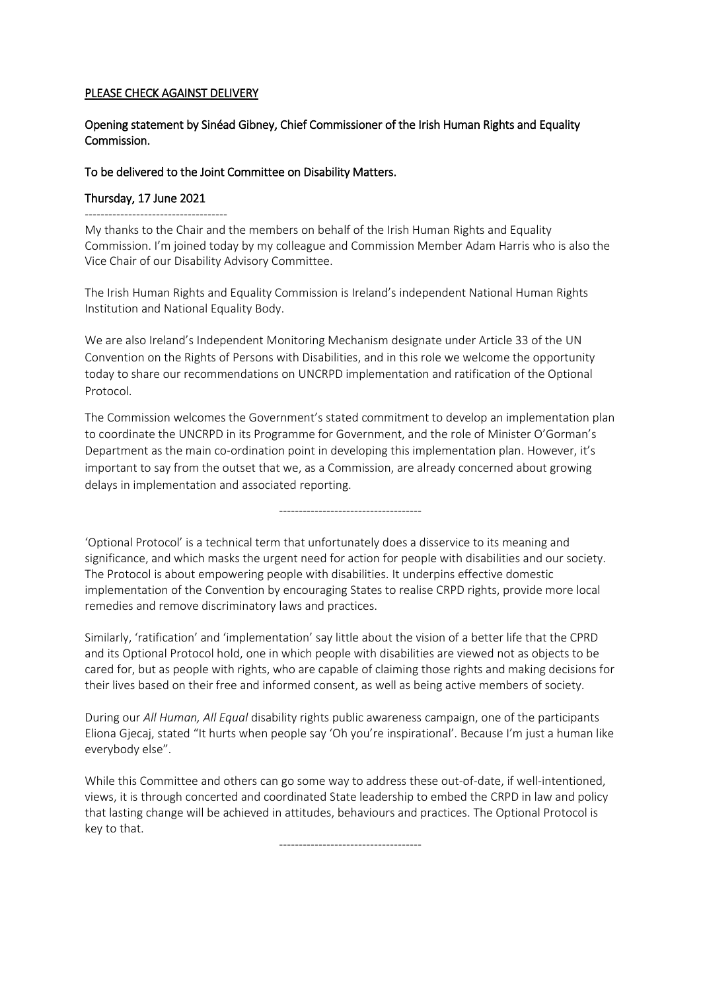## PLEASE CHECK AGAINST DELIVERY

## Opening statement by Sinéad Gibney, Chief Commissioner of the Irish Human Rights and Equality Commission.

## To be delivered to the Joint Committee on Disability Matters.

## Thursday, 17 June 2021

------------------------------------

My thanks to the Chair and the members on behalf of the Irish Human Rights and Equality Commission. I'm joined today by my colleague and Commission Member Adam Harris who is also the Vice Chair of our Disability Advisory Committee.

The Irish Human Rights and Equality Commission is Ireland's independent National Human Rights Institution and National Equality Body.

We are also Ireland's Independent Monitoring Mechanism designate under Article 33 of the UN Convention on the Rights of Persons with Disabilities, and in this role we welcome the opportunity today to share our recommendations on UNCRPD implementation and ratification of the Optional Protocol.

The Commission welcomes the Government's stated commitment to develop an implementation plan to coordinate the UNCRPD in its Programme for Government, and the role of Minister O'Gorman's Department as the main co-ordination point in developing this implementation plan. However, it's important to say from the outset that we, as a Commission, are already concerned about growing delays in implementation and associated reporting.

------------------------------------

'Optional Protocol' is a technical term that unfortunately does a disservice to its meaning and significance, and which masks the urgent need for action for people with disabilities and our society. The Protocol is about empowering people with disabilities. It underpins effective domestic implementation of the Convention by encouraging States to realise CRPD rights, provide more local remedies and remove discriminatory laws and practices.

Similarly, 'ratification' and 'implementation' say little about the vision of a better life that the CPRD and its Optional Protocol hold, one in which people with disabilities are viewed not as objects to be cared for, but as people with rights, who are capable of claiming those rights and making decisions for their lives based on their free and informed consent, as well as being active members of society.

During our *All Human, All Equal* disability rights public awareness campaign, one of the participants Eliona Gjecaj, stated "It hurts when people say 'Oh you're inspirational'. Because I'm just a human like everybody else".

While this Committee and others can go some way to address these out-of-date, if well-intentioned, views, it is through concerted and coordinated State leadership to embed the CRPD in law and policy that lasting change will be achieved in attitudes, behaviours and practices. The Optional Protocol is key to that.

------------------------------------